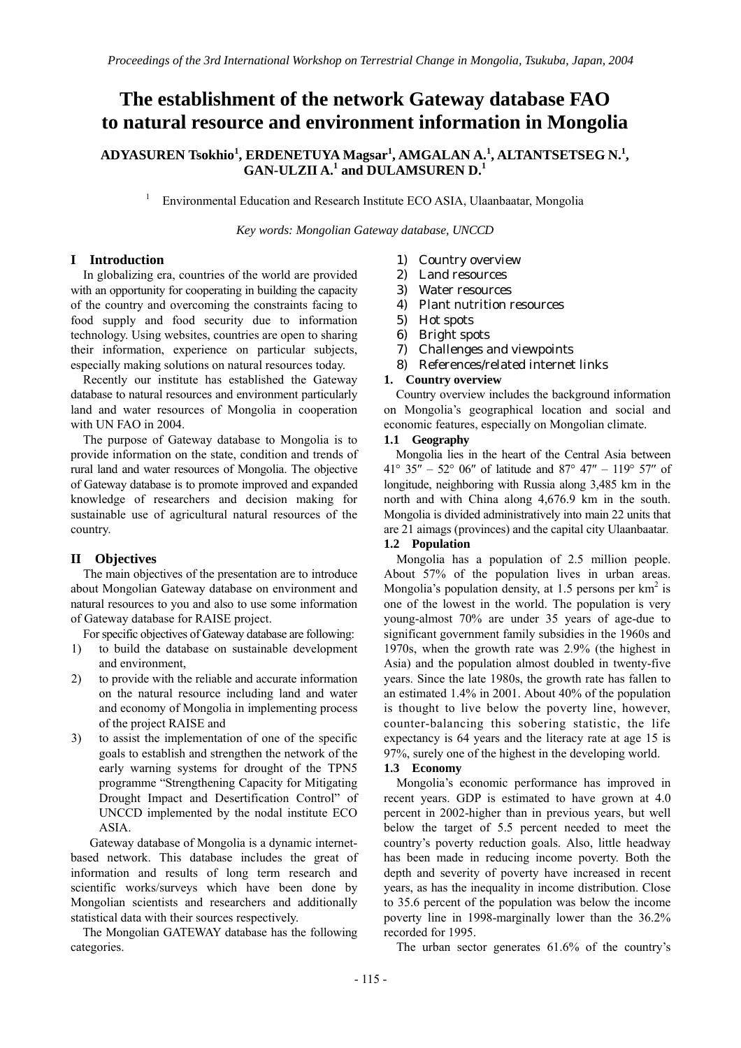# **The establishment of the network Gateway database FAO to natural resource and environment information in Mongolia**

# $\mathbf{ADYASUREN}$  Tsokhio $^1$ ,  $\mathbf{ERDENETUYA}$   $\mathbf{Magsar}^1$ ,  $\mathbf{AMGALAN A.}^1$ ,  $\mathbf{ALTANTSETSEG N.}^1$ , **GAN-ULZII A.<sup>1</sup> and DULAMSUREN D.<sup>1</sup>**

1 Environmental Education and Research Institute ECO ASIA, Ulaanbaatar, Mongolia

*Key words: Mongolian Gateway database, UNCCD* 

# **I Introduction**

In globalizing era, countries of the world are provided with an opportunity for cooperating in building the capacity of the country and overcoming the constraints facing to food supply and food security due to information technology. Using websites, countries are open to sharing their information, experience on particular subjects, especially making solutions on natural resources today.

Recently our institute has established the Gateway database to natural resources and environment particularly land and water resources of Mongolia in cooperation with UN FAO in 2004.

The purpose of Gateway database to Mongolia is to provide information on the state, condition and trends of rural land and water resources of Mongolia. The objective of Gateway database is to promote improved and expanded knowledge of researchers and decision making for sustainable use of agricultural natural resources of the country.

# **II Objectives**

The main objectives of the presentation are to introduce about Mongolian Gateway database on environment and natural resources to you and also to use some information of Gateway database for RAISE project.

For specific objectives of Gateway database are following:

- 1) to build the database on sustainable development and environment,
- 2) to provide with the reliable and accurate information on the natural resource including land and water and economy of Mongolia in implementing process of the project RAISE and
- 3) to assist the implementation of one of the specific goals to establish and strengthen the network of the early warning systems for drought of the TPN5 programme "Strengthening Capacity for Mitigating Drought Impact and Desertification Control" of UNCCD implemented by the nodal institute ECO ASIA.

 Gateway database of Mongolia is a dynamic internetbased network. This database includes the great of information and results of long term research and scientific works/surveys which have been done by Mongolian scientists and researchers and additionally statistical data with their sources respectively.

The Mongolian GATEWAY database has the following categories.

- 1) Country overview
- 2) Land resources
- 3) Water resources
- 4) Plant nutrition resources
- 5) Hot spots
- 6) Bright spots
- 7) Challenges and viewpoints
- 8) References/related internet links

## **1. Country overview**

Country overview includes the background information on Mongolia's geographical location and social and economic features, especially on Mongolian climate.

## **1.1 Geography**

Mongolia lies in the heart of the Central Asia between 41° 35′′ – 52° 06′′ of latitude and 87° 47′′ – 119° 57′′ of longitude, neighboring with Russia along 3,485 km in the north and with China along 4,676.9 km in the south. Mongolia is divided administratively into main 22 units that are 21 aimags (provinces) and the capital city Ulaanbaatar.

# **1.2 Population**

Mongolia has a population of 2.5 million people. About 57% of the population lives in urban areas. Mongolia's population density, at 1.5 persons per  $km^2$  is one of the lowest in the world. The population is very young-almost 70% are under 35 years of age-due to significant government family subsidies in the 1960s and 1970s, when the growth rate was 2.9% (the highest in Asia) and the population almost doubled in twenty-five years. Since the late 1980s, the growth rate has fallen to an estimated 1.4% in 2001. About 40% of the population is thought to live below the poverty line, however, counter-balancing this sobering statistic, the life expectancy is 64 years and the literacy rate at age 15 is 97%, surely one of the highest in the developing world.

# **1.3 Economy**

Mongolia's economic performance has improved in recent years. GDP is estimated to have grown at 4.0 percent in 2002-higher than in previous years, but well below the target of 5.5 percent needed to meet the country's poverty reduction goals. Also, little headway has been made in reducing income poverty. Both the depth and severity of poverty have increased in recent years, as has the inequality in income distribution. Close to 35.6 percent of the population was below the income poverty line in 1998-marginally lower than the 36.2% recorded for 1995.

The urban sector generates 61.6% of the country's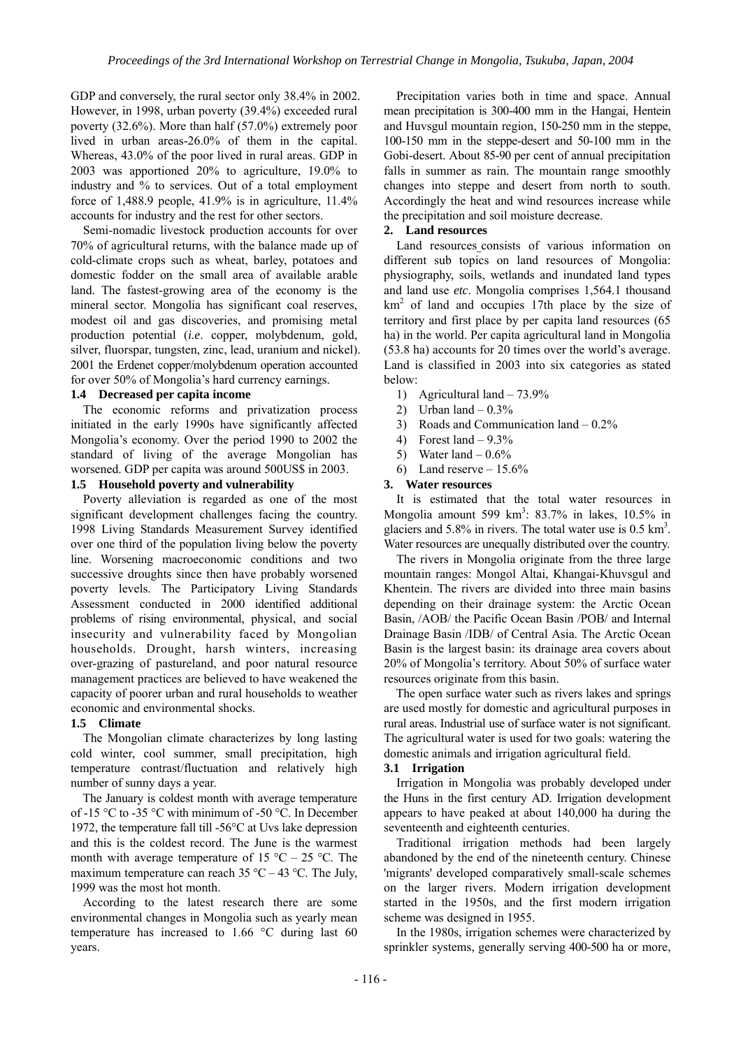GDP and conversely, the rural sector only 38.4% in 2002. However, in 1998, urban poverty (39.4%) exceeded rural poverty (32.6%). More than half (57.0%) extremely poor lived in urban areas-26.0% of them in the capital. Whereas, 43.0% of the poor lived in rural areas. GDP in 2003 was apportioned 20% to agriculture, 19.0% to industry and % to services. Out of a total employment force of 1,488.9 people, 41.9% is in agriculture, 11.4% accounts for industry and the rest for other sectors.

Semi-nomadic livestock production accounts for over 70% of agricultural returns, with the balance made up of cold-climate crops such as wheat, barley, potatoes and domestic fodder on the small area of available arable land. The fastest-growing area of the economy is the mineral sector. Mongolia has significant coal reserves, modest oil and gas discoveries, and promising metal production potential (*i.e*. copper, molybdenum, gold, silver, fluorspar, tungsten, zinc, lead, uranium and nickel). 2001 the Erdenet copper/molybdenum operation accounted for over 50% of Mongolia's hard currency earnings.

#### **1.4 Decreased per capita income**

The economic reforms and privatization process initiated in the early 1990s have significantly affected Mongolia's economy. Over the period 1990 to 2002 the standard of living of the average Mongolian has worsened. GDP per capita was around 500US\$ in 2003.

# **1.5 Household poverty and vulnerability**

Poverty alleviation is regarded as one of the most significant development challenges facing the country. 1998 Living Standards Measurement Survey identified over one third of the population living below the poverty line. Worsening macroeconomic conditions and two successive droughts since then have probably worsened poverty levels. The Participatory Living Standards Assessment conducted in 2000 identified additional problems of rising environmental, physical, and social insecurity and vulnerability faced by Mongolian households. Drought, harsh winters, increasing over-grazing of pastureland, and poor natural resource management practices are believed to have weakened the capacity of poorer urban and rural households to weather economic and environmental shocks.

#### **1.5 Climate**

The Mongolian climate characterizes by long lasting cold winter, cool summer, small precipitation, high temperature contrast/fluctuation and relatively high number of sunny days a year.

The January is coldest month with average temperature of -15 °C to -35 °C with minimum of -50 °C. In December 1972, the temperature fall till -56°C at Uvs lake depression and this is the coldest record. The June is the warmest month with average temperature of 15 °C – 25 °C. The maximum temperature can reach  $35^{\circ}$ C – 43 °C. The July, 1999 was the most hot month.

According to the latest research there are some environmental changes in Mongolia such as yearly mean temperature has increased to 1.66 °C during last 60 years.

Precipitation varies both in time and space. Annual mean precipitation is 300-400 mm in the Hangai, Hentein and Huvsgul mountain region, 150-250 mm in the steppe, 100-150 mm in the steppe-desert and 50-100 mm in the Gobi-desert. About 85-90 per cent of annual precipitation falls in summer as rain. The mountain range smoothly changes into steppe and desert from north to south. Accordingly the heat and wind resources increase while the precipitation and soil moisture decrease.

## **2. Land resources**

Land resources consists of various information on different sub topics on land resources of Mongolia: physiography, soils, wetlands and inundated land types and land use *etc*. Mongolia comprises 1,564.1 thousand  $km<sup>2</sup>$  of land and occupies 17th place by the size of territory and first place by per capita land resources (65 ha) in the world. Per capita agricultural land in Mongolia (53.8 ha) accounts for 20 times over the world's average. Land is classified in 2003 into six categories as stated below:

- 1) Agricultural land 73.9%
- 2) Urban land  $-0.3\%$
- 3) Roads and Communication land 0.2%
- 4) Forest land  $-9.3\%$
- 5) Water land  $-0.6%$
- 6) Land reserve  $-15.6%$

#### **3. Water resources**

It is estimated that the total water resources in Mongolia amount 599 km<sup>3</sup>: 83.7% in lakes, 10.5% in glaciers and 5.8% in rivers. The total water use is  $0.5 \text{ km}^3$ . Water resources are unequally distributed over the country.

The rivers in Mongolia originate from the three large mountain ranges: Mongol Altai, Khangai-Khuvsgul and Khentein. The rivers are divided into three main basins depending on their drainage system: the Arctic Ocean Basin, /AOB/ the Pacific Ocean Basin /POB/ and Internal Drainage Basin /IDB/ of Central Asia. The Arctic Ocean Basin is the largest basin: its drainage area covers about 20% of Mongolia's territory. About 50% of surface water resources originate from this basin.

The open surface water such as rivers lakes and springs are used mostly for domestic and agricultural purposes in rural areas. Industrial use of surface water is not significant. The agricultural water is used for two goals: watering the domestic animals and irrigation agricultural field.

# **3.1 Irrigation**

Irrigation in Mongolia was probably developed under the Huns in the first century AD. Irrigation development appears to have peaked at about 140,000 ha during the seventeenth and eighteenth centuries.

Traditional irrigation methods had been largely abandoned by the end of the nineteenth century. Chinese 'migrants' developed comparatively small-scale schemes on the larger rivers. Modern irrigation development started in the 1950s, and the first modern irrigation scheme was designed in 1955.

In the 1980s, irrigation schemes were characterized by sprinkler systems, generally serving 400-500 ha or more,